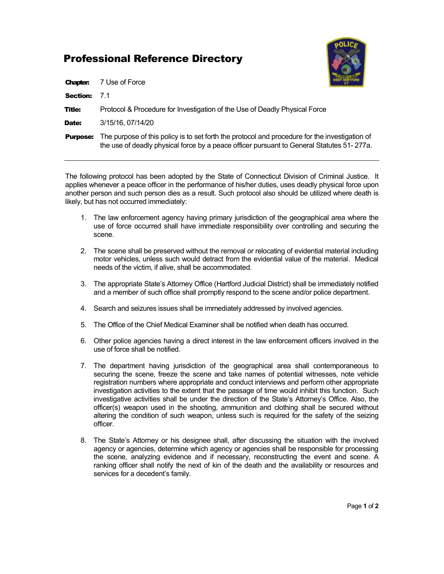## Professional Reference Directory



| <b>Chapter:</b> | 7 Use of Force                                                                                                                                                                              |
|-----------------|---------------------------------------------------------------------------------------------------------------------------------------------------------------------------------------------|
| <b>Section:</b> | 71                                                                                                                                                                                          |
| <b>Title:</b>   | Protocol & Procedure for Investigation of the Use of Deadly Physical Force                                                                                                                  |
| Date:           | 3/15/16, 07/14/20                                                                                                                                                                           |
| <b>Purpose:</b> | The purpose of this policy is to set forth the protocol and procedure for the investigation of<br>the use of deadly physical force by a peace officer pursuant to General Statutes 51-277a. |

The following protocol has been adopted by the State of Connecticut Division of Criminal Justice. It applies whenever a peace officer in the performance of his/her duties, uses deadly physical force upon another person and such person dies as a result. Such protocol also should be utilized where death is likely, but has not occurred immediately:

- 1. The law enforcement agency having primary jurisdiction of the geographical area where the use of force occurred shall have immediate responsibility over controlling and securing the scene.
- 2. The scene shall be preserved without the removal or relocating of evidential material including motor vehicles, unless such would detract from the evidential value of the material. Medical needs of the victim, if alive, shall be accommodated.
- 3. The appropriate State's Attorney Office (Hartford Judicial District) shall be immediately notified and a member of such office shall promptly respond to the scene and/or police department.
- 4. Search and seizures issues shall be immediately addressed by involved agencies.
- 5. The Office of the Chief Medical Examiner shall be notified when death has occurred.
- 6. Other police agencies having a direct interest in the law enforcement officers involved in the use of force shall be notified.
- 7. The department having jurisdiction of the geographical area shall contemporaneous to securing the scene, freeze the scene and take names of potential witnesses, note vehicle registration numbers where appropriate and conduct interviews and perform other appropriate investigation activities to the extent that the passage of time would inhibit this function. Such investigative activities shall be under the direction of the State's Attorney's Office. Also, the officer(s) weapon used in the shooting, ammunition and clothing shall be secured without altering the condition of such weapon, unless such is required for the safety of the seizing officer.
- 8. The State's Attorney or his designee shall, after discussing the situation with the involved agency or agencies, determine which agency or agencies shall be responsible for processing the scene, analyzing evidence and if necessary, reconstructing the event and scene. A ranking officer shall notify the next of kin of the death and the availability or resources and services for a decedent's family.